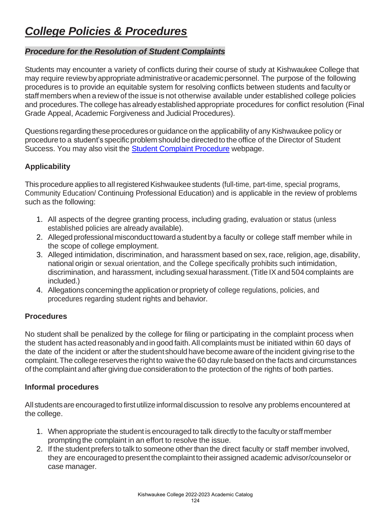# *College Policies & Procedures*

## *Procedure for the Resolution of Student Complaints*

Students may encounter a variety of conflicts during their course of study at Kishwaukee College that may require review by appropriate administrative or academic personnel. The purpose of the following procedures is to provide an equitable system for resolving conflicts between students and faculty or staff members when a review of the issue is not otherwise available under established college policies and procedures. The college has already established appropriate procedures for conflict resolution (Final Grade Appeal, Academic Forgiveness and Judicial Procedures).

Questions regarding these procedures or guidance on the applicability of any Kishwaukee policy or procedure to a student's specific problem should be directed to the office of the Director of Student Success. You may also visit the [Student Complaint Procedure](https://kish.edu/student-life/student-handbook/complaint-procedure.php) webpage.

## **Applicability**

This procedure applies to all registered Kishwaukee students (full-time, part-time, special programs, Community Education/ Continuing Professional Education) and is applicable in the review of problems such as the following:

- 1. All aspects of the degree granting process, including grading, evaluation or status (unless established policies are already available).
- 2. Alleged professional misconduct toward a student by a faculty or college staff member while in the scope of college employment.
- 3. Alleged intimidation, discrimination, and harassment based on sex, race, religion, age, disability, national origin or sexual orientation, and the College specifically prohibits such intimidation, discrimination, and harassment, including sexual harassment. (Title IX and 504 complaints are included.)
- 4. Allegations concerningthe applicationor propriety of college regulations, policies, and procedures regarding student rights and behavior.

### **Procedures**

No student shall be penalized by the college for filing or participating in the complaint process when the student has acted reasonablyand in good faith.All complaints must be initiated within 60 days of the date of the incident or after the student should have become aware of the incident giving rise to the complaint. The college reserves the right to waive the 60 day rule based on the facts and circumstances of the complaint and after giving due consideration to the protection of the rights of both parties.

### **Informal procedures**

All students are encouraged to first utilize informal discussion to resolve any problems encountered at the college.

- 1. When appropriate the student is encouraged to talk directly to the facultyor staffmember prompting the complaint in an effort to resolve the issue.
- 2. If the student prefers to talk to someone other than the direct faculty or staff member involved, they are encouraged to present the complaint to their assigned academic advisor/counselor or case manager.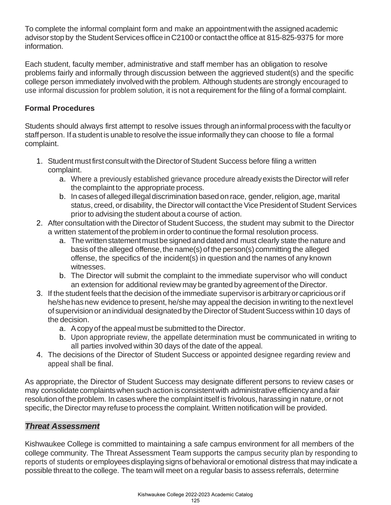To complete the informal complaint form and make an appointmentwith the assigned academic advisor stop by the Student Services office in C2100 or contact the office at 815-825-9375 for more information.

Each student, faculty member, administrative and staff member has an obligation to resolve problems fairly and informally through discussion between the aggrieved student(s) and the specific college person immediately involved with the problem. Although students are strongly encouraged to use informal discussion for problem solution, it is not a requirement for the filing of a formal complaint.

## **Formal Procedures**

Students should always first attempt to resolve issues through an informalprocess with the facultyor staff person. If a student is unable to resolve the issue informally they can choose to file a formal complaint.

- 1. Student must first consult with the Director of Student Success before filing a written complaint.
	- a. Where a previously established grievance procedure alreadyexists the Director willrefer the complaint to the appropriate process.
	- b. In cases of alleged illegal discrimination based on race, gender, religion, age, marital status, creed, or disability, the Director will contact the Vice President of Student Services prior to advising the student about a course of action.
- 2. After consultation with the Director of Student Success, the student may submit to the Director a written statement of the problem in order to continue the formal resolution process.
	- a. The written statement must be signed and dated and must clearly state the nature and basis of the alleged offense, the name(s) of the person(s) committing the alleged offense, the specifics of the incident(s) in question and the names of any known witnesses.
	- b. The Director will submit the complaint to the immediate supervisor who will conduct an extension for additional review may be granted by agreement of the Director.
- 3. If the student feels that the decision of the immediate supervisorisarbitraryor capriciousorif he/shehasnew evidence to present, he/she may appeal the decision in writing to the next level of supervision or an individual designated by the Director of Student Success within 10 days of the decision.
	- a. Acopyof the appeal mustbe submitted to the Director.
	- b. Upon appropriate review, the appellate determination must be communicated in writing to all parties involved within 30 days of the date of the appeal.
- 4. The decisions of the Director of Student Success or appointed designee regarding review and appeal shall be final.

As appropriate, the Director of Student Success may designate different persons to review cases or may consolidate complaints when such action is consistent with administrative efficiency and a fair resolution of the problem. In cases where the complaint itself is frivolous, harassing in nature, or not specific, the Director may refuse to process the complaint. Written notification will be provided.

## *Threat Assessment*

Kishwaukee College is committed to maintaining a safe campus environment for all members of the college community. The Threat Assessment Team supports the campus security plan by responding to reports of students or employees displaying signs of behavioral or emotional distress that may indicate a possible threat to the college. The team will meet on a regular basis to assess referrals, determine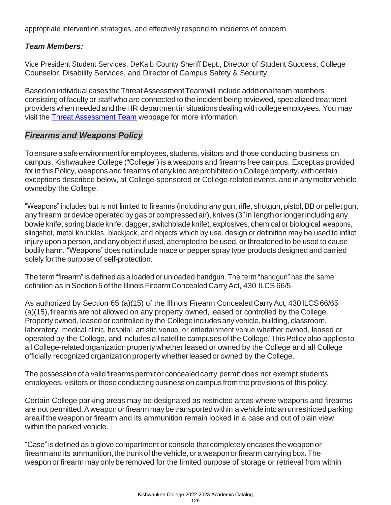appropriate intervention strategies, and effectively respond to incidents of concern.

## *Team Members:*

Vice President Student Services, DeKalb County Sheriff Dept., Director of Student Success, College Counselor, Disability Services, and Director of Campus Safety & Security.

Based on individual cases the Threat Assessment Team will include additional team members consisting of faculty or staff who are connected to the incident being reviewed, specialized treatment providers when needed and the HR department in situations dealing with college employees. You may visit the [Threat Assessment Team](https://kish.edu/student-life/safety/threat-assessment-team.php) webpage for more information.

## *Firearms and Weapons Policy*

To ensure a safe environment for employees, students, visitors and those conducting business on campus, Kishwaukee College ("College") is a weapons and firearms free campus. Exceptas provided for in this Policy, weapons and firearms of any kind are prohibited on College property, with certain exceptions described below, at College-sponsored or College-relatedevents,andin anymotor vehicle ownedby the College.

"Weapons" includes but is not limited to firearms (including any gun, rifle, shotgun, pistol, BB or pellet gun, any firearm or device operated by gas or compressed air), knives (3"in lengthor longerincludingany bowie knife, spring blade knife, dagger, switchblade knife), explosives, chemical or biological weapons, slingshot, metal knuckles, blackjack, and objects which by use, design or definition may be used to inflict injury upon a person, and any object if used, attempted to be used, or threatened to be used to cause bodily harm. "Weapons"does not include mace or pepper spray type products designed and carried solely for the purpose of self-protection.

The term"firearm"is defined as a loaded or unloaded handgun. The term "handgun" has the same definition as in Section 5 of the Illinois Firearm Concealed Carry Act, 430 ILCS 66/5.

As authorized by Section 65 (a)(15) of the Illinois Firearm Concealed Carry Act, 430 ILCS 66/65 (a)(15), firearms are not allowed on any property owned, leased or controlled by the College. Property owned, leased or controlled by the College includes any vehicle, building, classroom, laboratory, medical clinic, hospital, artistic venue, or entertainment venue whether owned, leased or operated by the College, and includes all satellite campuses of the College.ThisPolicy also applies to all College-related organization property whether leased or owned by the College and all College officially recognized organization property whether leased or owned by the College.

The possession of a valid firearms permit or concealed carry permit does not exempt students, employees, visitors or those conducting business on campus from the provisions of this policy.

Certain College parking areas may be designated as restricted areas where weapons and firearms are not permitted. A weapon or firearm may be transported within a vehicle into an unrestricted parking areaif the weapon or firearm and its ammunition remain locked in a case and out of plain view within the parked vehicle.

"Case"is defined as a glove compartment or console thatcompletelyencases the weaponor firearm and its ammunition, the trunk of the vehicle, or a weapon or firearm carrying box. The weapon or firearm may only be removed for the limited purpose of storage or retrieval from within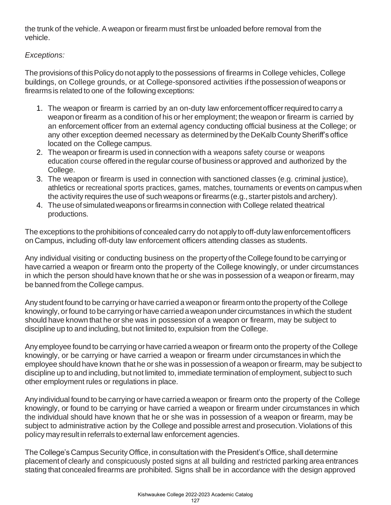the trunk of the vehicle. A weapon or firearm must first be unloaded before removal from the vehicle.

## *Exceptions:*

The provisions of this Policy do not apply to the possessions of firearms in College vehicles, College buildings, on College grounds, or at College-sponsored activities if the possessionof weapons or firearms is related to one of the following exceptions:

- 1. The weapon or firearm is carried by an on-duty law enforcementofficerrequiredto carry a weaponor firearm as a condition of his or her employment; the weapon or firearm is carried by an enforcement officer from an external agency conducting official business at the College; or any other exception deemed necessary as determined by the DeKalb County Sheriff's office located on the College campus.
- 2. The weapon or firearm is used in connection with a weapons safety course or weapons education course offered in the regular course of business or approved and authorized by the College.
- 3. The weapon or firearm is used in connection with sanctioned classes (e.g. criminal justice), athletics or recreational sports practices, games, matches, tournaments or events on campus when the activity requires the use of such weapons or firearms (e.g., starter pistols and archery).
- 4. Theuseof simulatedweaponsorfirearmsin connection with College related theatrical productions.

The exceptions to the prohibitions of concealed carry do not apply to off-duty lawenforcementofficers on Campus, including off-duty law enforcement officers attending classes as students.

Any individual visiting or conducting business on the propertyofthe Collegefoundto be carrying or have carried a weapon or firearm onto the property of the College knowingly, or under circumstances in which the person should have known that he or she was in possession of a weapon or firearm, may be banned from the College campus.

Any student found to be carrying or have carried a weapon or firearm onto the property of the College knowingly, or found to be carrying or have carried a weapon under circumstances in which the student should have known that he or she was in possession of a weapon or firearm, may be subject to discipline up to and including, but not limited to, expulsion from the College.

Any employee found to be carrying or have carried a weapon or firearm onto the property of the College knowingly, or be carrying or have carried a weapon or firearm under circumstances in which the employee should have known that he or she was in possession of a weapon or firearm, may be subject to discipline up to and including, but not limited to, immediate termination of employment, subject to such other employment rules or regulations in place.

Anyindividual found to be carrying or havecarrieda weapon or firearm onto the property of the College knowingly, or found to be carrying or have carried a weapon or firearm under circumstances in which the individual should have known that he or she was in possession of a weapon or firearm, may be subject to administrative action by the College and possible arrest and prosecution. Violations of this policy may resultin referrals to external law enforcement agencies.

The College's Campus Security Office, in consultation with the President's Office, shall determine placement of clearly and conspicuously posted signs at all building and restricted parking area entrances stating that concealed firearms are prohibited. Signs shall be in accordance with the design approved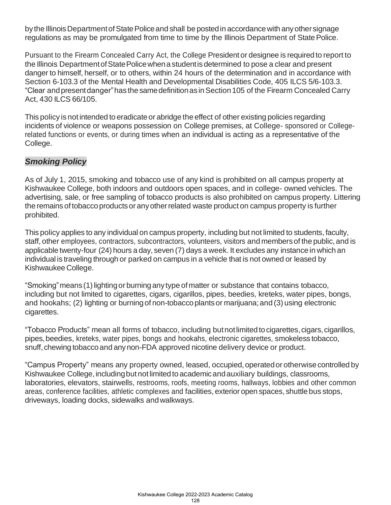by the Illinois Department of State Police and shall be posted in accordance with any other signage regulations as may be promulgated from time to time by the Illinois Department of State Police.

Pursuant to the Firearm Concealed Carry Act, the College President or designee is required to report to the Illinois Department of State Police when a student is determined to pose a clear and present danger to himself, herself, or to others, within 24 hours of the determination and in accordance with Section 6-103.3 of the Mental Health and Developmental Disabilities Code, 405 ILCS 5/6-103.3. "Clear andpresentdanger"hasthesamedefinitionasinSection105 of the Firearm Concealed Carry Act, 430 ILCS 66/105.

This policy is not intended to eradicate or abridge the effect of other existing policies regarding incidents of violence or weapons possession on College premises, at College- sponsored or Collegerelated functions or events, or during times when an individual is acting as a representative of the College.

## *Smoking Policy*

As of July 1, 2015, smoking and tobacco use of any kind is prohibited on all campus property at Kishwaukee College, both indoors and outdoors open spaces, and in college- owned vehicles. The advertising, sale, or free sampling of tobacco products is also prohibited on campus property. Littering the remains of tobacco products or any other related waste product on campus property is further prohibited.

This policy applies to any individual on campus property, including but not limited to students, faculty, staff, other employees, contractors, subcontractors, volunteers, visitors and membersof the public, and is applicable twenty-four (24) hours a day, seven (7) days a week. It excludes any instance in which an individual is traveling through or parked on campus in a vehicle that is not owned or leased by Kishwaukee College.

"Smoking" means (1) lighting or burning any type of matter or substance that contains tobacco, including but not limited to cigarettes, cigars, cigarillos, pipes, beedies, kreteks, water pipes, bongs, and hookahs; (2) lighting or burningof non-tobaccoplantsor marijuana;and (3) using electronic cigarettes.

"Tobacco Products" mean all forms of tobacco, including butnotlimitedtocigarettes,cigars,cigarillos, pipes,beedies, kreteks, water pipes, bongs and hookahs, electronic cigarettes, smokeless tobacco, snuff, chewing tobacco and any non-FDA approved nicotine delivery device or product.

"Campus Property" means any property owned, leased, occupied, operated or otherwise controlled by Kishwaukee College, including but not limited to academic and auxiliary buildings, classrooms, laboratories, elevators, stairwells, restrooms, roofs, meeting rooms, hallways, lobbies and other common areas, conference facilities, athletic complexes and facilities, exterior open spaces, shuttlebus stops, driveways, loading docks, sidewalks andwalkways.